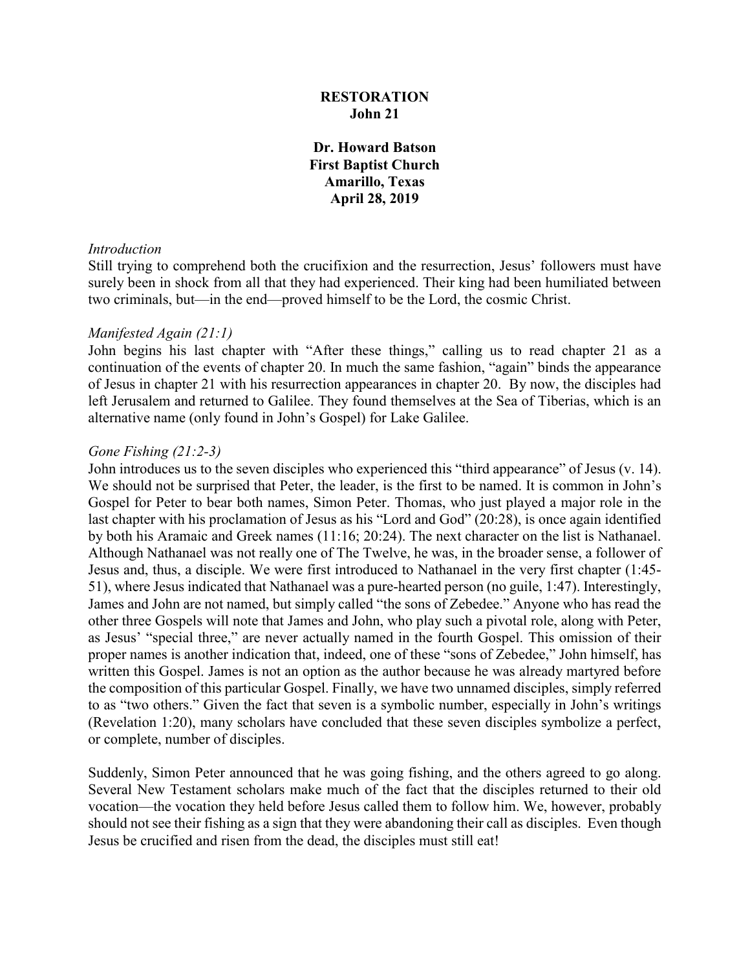## **RESTORATION John 21**

**Dr. Howard Batson First Baptist Church Amarillo, Texas April 28, 2019**

#### *Introduction*

Still trying to comprehend both the crucifixion and the resurrection, Jesus' followers must have surely been in shock from all that they had experienced. Their king had been humiliated between two criminals, but—in the end—proved himself to be the Lord, the cosmic Christ.

#### *Manifested Again (21:1)*

John begins his last chapter with "After these things," calling us to read chapter 21 as a continuation of the events of chapter 20. In much the same fashion, "again" binds the appearance of Jesus in chapter 21 with his resurrection appearances in chapter 20. By now, the disciples had left Jerusalem and returned to Galilee. They found themselves at the Sea of Tiberias, which is an alternative name (only found in John's Gospel) for Lake Galilee.

#### *Gone Fishing (21:2-3)*

John introduces us to the seven disciples who experienced this "third appearance" of Jesus (v. 14). We should not be surprised that Peter, the leader, is the first to be named. It is common in John's Gospel for Peter to bear both names, Simon Peter. Thomas, who just played a major role in the last chapter with his proclamation of Jesus as his "Lord and God" (20:28), is once again identified by both his Aramaic and Greek names (11:16; 20:24). The next character on the list is Nathanael. Although Nathanael was not really one of The Twelve, he was, in the broader sense, a follower of Jesus and, thus, a disciple. We were first introduced to Nathanael in the very first chapter (1:45- 51), where Jesus indicated that Nathanael was a pure-hearted person (no guile, 1:47). Interestingly, James and John are not named, but simply called "the sons of Zebedee." Anyone who has read the other three Gospels will note that James and John, who play such a pivotal role, along with Peter, as Jesus' "special three," are never actually named in the fourth Gospel. This omission of their proper names is another indication that, indeed, one of these "sons of Zebedee," John himself, has written this Gospel. James is not an option as the author because he was already martyred before the composition of this particular Gospel. Finally, we have two unnamed disciples, simply referred to as "two others." Given the fact that seven is a symbolic number, especially in John's writings (Revelation 1:20), many scholars have concluded that these seven disciples symbolize a perfect, or complete, number of disciples.

Suddenly, Simon Peter announced that he was going fishing, and the others agreed to go along. Several New Testament scholars make much of the fact that the disciples returned to their old vocation—the vocation they held before Jesus called them to follow him. We, however, probably should not see their fishing as a sign that they were abandoning their call as disciples. Even though Jesus be crucified and risen from the dead, the disciples must still eat!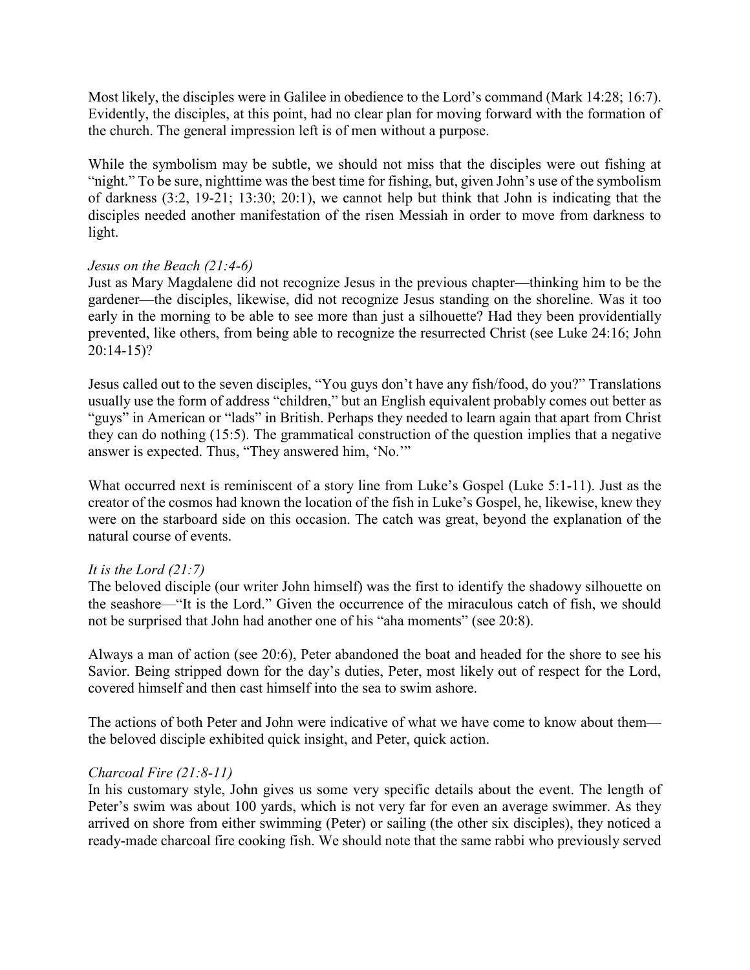Most likely, the disciples were in Galilee in obedience to the Lord's command (Mark 14:28; 16:7). Evidently, the disciples, at this point, had no clear plan for moving forward with the formation of the church. The general impression left is of men without a purpose.

While the symbolism may be subtle, we should not miss that the disciples were out fishing at "night." To be sure, nighttime was the best time for fishing, but, given John's use of the symbolism of darkness (3:2, 19-21; 13:30; 20:1), we cannot help but think that John is indicating that the disciples needed another manifestation of the risen Messiah in order to move from darkness to light.

## *Jesus on the Beach (21:4-6)*

Just as Mary Magdalene did not recognize Jesus in the previous chapter—thinking him to be the gardener—the disciples, likewise, did not recognize Jesus standing on the shoreline. Was it too early in the morning to be able to see more than just a silhouette? Had they been providentially prevented, like others, from being able to recognize the resurrected Christ (see Luke 24:16; John 20:14-15)?

Jesus called out to the seven disciples, "You guys don't have any fish/food, do you?" Translations usually use the form of address "children," but an English equivalent probably comes out better as "guys" in American or "lads" in British. Perhaps they needed to learn again that apart from Christ they can do nothing (15:5). The grammatical construction of the question implies that a negative answer is expected. Thus, "They answered him, 'No.'"

What occurred next is reminiscent of a story line from Luke's Gospel (Luke 5:1-11). Just as the creator of the cosmos had known the location of the fish in Luke's Gospel, he, likewise, knew they were on the starboard side on this occasion. The catch was great, beyond the explanation of the natural course of events.

### *It is the Lord (21:7)*

The beloved disciple (our writer John himself) was the first to identify the shadowy silhouette on the seashore—"It is the Lord." Given the occurrence of the miraculous catch of fish, we should not be surprised that John had another one of his "aha moments" (see 20:8).

Always a man of action (see 20:6), Peter abandoned the boat and headed for the shore to see his Savior. Being stripped down for the day's duties, Peter, most likely out of respect for the Lord, covered himself and then cast himself into the sea to swim ashore.

The actions of both Peter and John were indicative of what we have come to know about them the beloved disciple exhibited quick insight, and Peter, quick action.

### *Charcoal Fire (21:8-11)*

In his customary style, John gives us some very specific details about the event. The length of Peter's swim was about 100 yards, which is not very far for even an average swimmer. As they arrived on shore from either swimming (Peter) or sailing (the other six disciples), they noticed a ready-made charcoal fire cooking fish. We should note that the same rabbi who previously served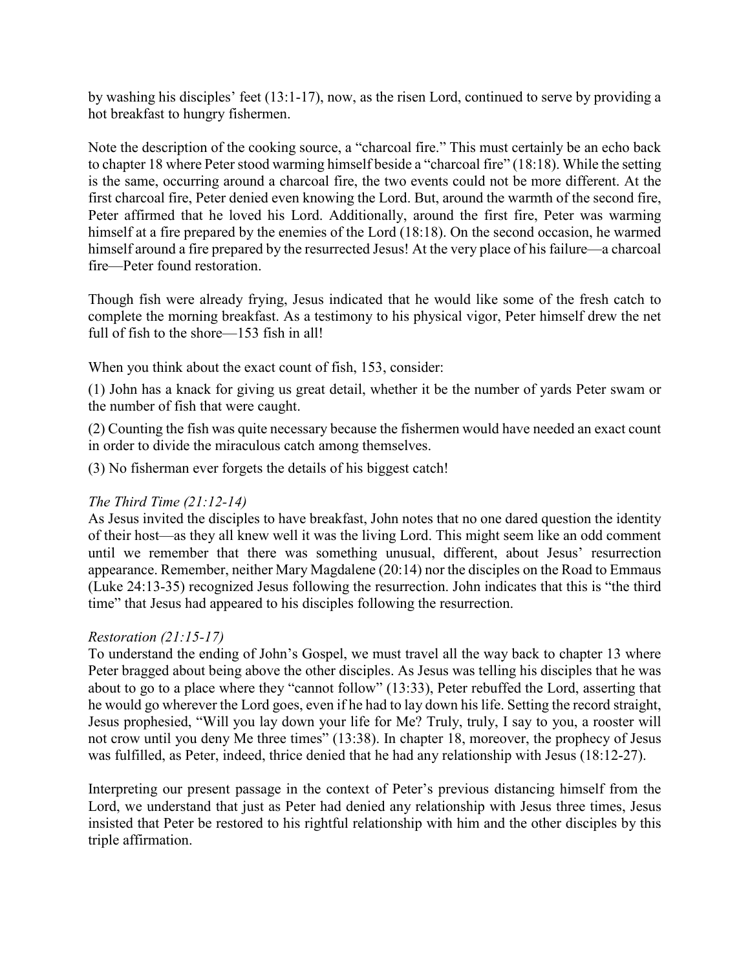by washing his disciples' feet (13:1-17), now, as the risen Lord, continued to serve by providing a hot breakfast to hungry fishermen.

Note the description of the cooking source, a "charcoal fire." This must certainly be an echo back to chapter 18 where Peter stood warming himself beside a "charcoal fire" (18:18). While the setting is the same, occurring around a charcoal fire, the two events could not be more different. At the first charcoal fire, Peter denied even knowing the Lord. But, around the warmth of the second fire, Peter affirmed that he loved his Lord. Additionally, around the first fire, Peter was warming himself at a fire prepared by the enemies of the Lord (18:18). On the second occasion, he warmed himself around a fire prepared by the resurrected Jesus! At the very place of his failure—a charcoal fire—Peter found restoration.

Though fish were already frying, Jesus indicated that he would like some of the fresh catch to complete the morning breakfast. As a testimony to his physical vigor, Peter himself drew the net full of fish to the shore—153 fish in all!

When you think about the exact count of fish, 153, consider:

(1) John has a knack for giving us great detail, whether it be the number of yards Peter swam or the number of fish that were caught.

(2) Counting the fish was quite necessary because the fishermen would have needed an exact count in order to divide the miraculous catch among themselves.

(3) No fisherman ever forgets the details of his biggest catch!

## *The Third Time (21:12-14)*

As Jesus invited the disciples to have breakfast, John notes that no one dared question the identity of their host—as they all knew well it was the living Lord. This might seem like an odd comment until we remember that there was something unusual, different, about Jesus' resurrection appearance. Remember, neither Mary Magdalene (20:14) nor the disciples on the Road to Emmaus (Luke 24:13-35) recognized Jesus following the resurrection. John indicates that this is "the third time" that Jesus had appeared to his disciples following the resurrection.

## *Restoration (21:15-17)*

To understand the ending of John's Gospel, we must travel all the way back to chapter 13 where Peter bragged about being above the other disciples. As Jesus was telling his disciples that he was about to go to a place where they "cannot follow" (13:33), Peter rebuffed the Lord, asserting that he would go wherever the Lord goes, even if he had to lay down his life. Setting the record straight, Jesus prophesied, "Will you lay down your life for Me? Truly, truly, I say to you, a rooster will not crow until you deny Me three times" (13:38). In chapter 18, moreover, the prophecy of Jesus was fulfilled, as Peter, indeed, thrice denied that he had any relationship with Jesus (18:12-27).

Interpreting our present passage in the context of Peter's previous distancing himself from the Lord, we understand that just as Peter had denied any relationship with Jesus three times, Jesus insisted that Peter be restored to his rightful relationship with him and the other disciples by this triple affirmation.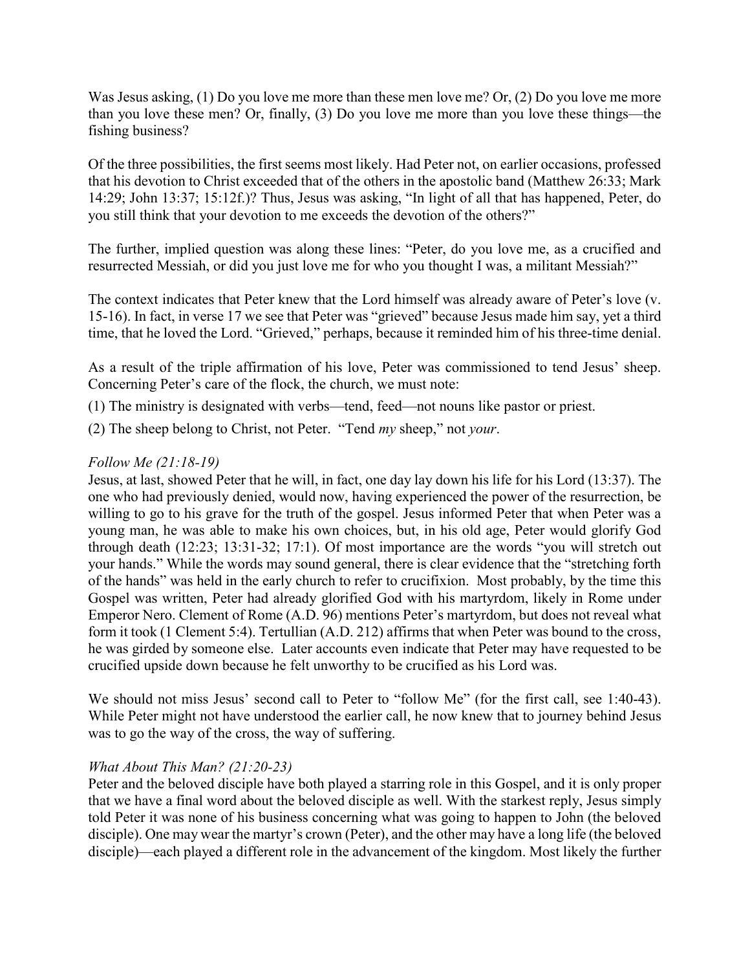Was Jesus asking, (1) Do you love me more than these men love me? Or, (2) Do you love me more than you love these men? Or, finally, (3) Do you love me more than you love these things—the fishing business?

Of the three possibilities, the first seems most likely. Had Peter not, on earlier occasions, professed that his devotion to Christ exceeded that of the others in the apostolic band (Matthew 26:33; Mark 14:29; John 13:37; 15:12f.)? Thus, Jesus was asking, "In light of all that has happened, Peter, do you still think that your devotion to me exceeds the devotion of the others?"

The further, implied question was along these lines: "Peter, do you love me, as a crucified and resurrected Messiah, or did you just love me for who you thought I was, a militant Messiah?"

The context indicates that Peter knew that the Lord himself was already aware of Peter's love (v. 15-16). In fact, in verse 17 we see that Peter was "grieved" because Jesus made him say, yet a third time, that he loved the Lord. "Grieved," perhaps, because it reminded him of his three-time denial.

As a result of the triple affirmation of his love, Peter was commissioned to tend Jesus' sheep. Concerning Peter's care of the flock, the church, we must note:

- (1) The ministry is designated with verbs—tend, feed—not nouns like pastor or priest.
- (2) The sheep belong to Christ, not Peter. "Tend *my* sheep," not *your*.

# *Follow Me (21:18-19)*

Jesus, at last, showed Peter that he will, in fact, one day lay down his life for his Lord (13:37). The one who had previously denied, would now, having experienced the power of the resurrection, be willing to go to his grave for the truth of the gospel. Jesus informed Peter that when Peter was a young man, he was able to make his own choices, but, in his old age, Peter would glorify God through death (12:23; 13:31-32; 17:1). Of most importance are the words "you will stretch out your hands." While the words may sound general, there is clear evidence that the "stretching forth of the hands" was held in the early church to refer to crucifixion. Most probably, by the time this Gospel was written, Peter had already glorified God with his martyrdom, likely in Rome under Emperor Nero. Clement of Rome (A.D. 96) mentions Peter's martyrdom, but does not reveal what form it took (1 Clement 5:4). Tertullian (A.D. 212) affirms that when Peter was bound to the cross, he was girded by someone else. Later accounts even indicate that Peter may have requested to be crucified upside down because he felt unworthy to be crucified as his Lord was.

We should not miss Jesus' second call to Peter to "follow Me" (for the first call, see 1:40-43). While Peter might not have understood the earlier call, he now knew that to journey behind Jesus was to go the way of the cross, the way of suffering.

## *What About This Man? (21:20-23)*

Peter and the beloved disciple have both played a starring role in this Gospel, and it is only proper that we have a final word about the beloved disciple as well. With the starkest reply, Jesus simply told Peter it was none of his business concerning what was going to happen to John (the beloved disciple). One may wear the martyr's crown (Peter), and the other may have a long life (the beloved disciple)—each played a different role in the advancement of the kingdom. Most likely the further